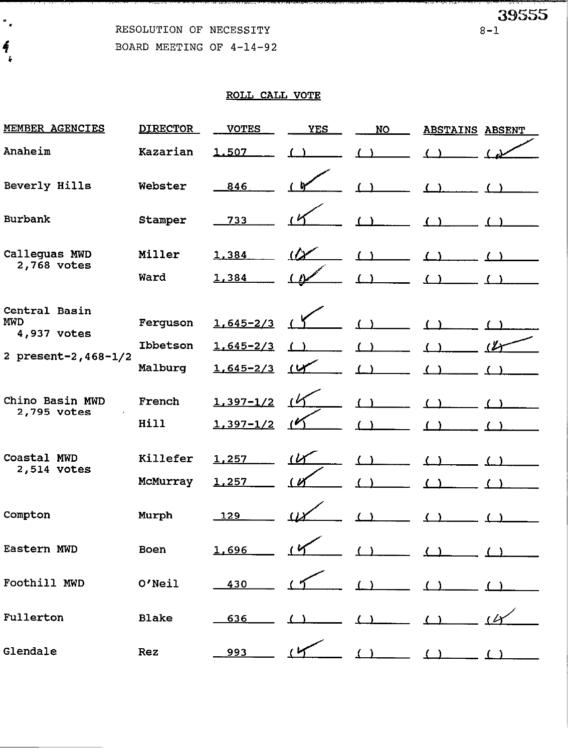RESOLUTION OF NECESSITY

BOARD MEETING OF 4-14-92

39555

 $8 - 1$ 

| <b>MEMBER AGENCIES</b>                     | <b>DIRECTOR</b>      | <b>VOTES</b>                   | <b>YES</b>     | <b>NO</b> | <b>ABSTAINS ABSENT</b> |  |
|--------------------------------------------|----------------------|--------------------------------|----------------|-----------|------------------------|--|
| Anaheim                                    | Kazarian             | 1,507                          |                |           |                        |  |
| Beverly Hills                              | Webster              | 846                            |                |           |                        |  |
| <b>Burbank</b>                             | Stamper              | 733                            |                |           |                        |  |
| Calleguas MWD<br>2,768 votes               | Miller<br>Ward       | 1,384<br>1,384                 | $\alpha$       | (         |                        |  |
|                                            |                      |                                |                |           |                        |  |
| Central Basin<br><b>MWD</b><br>4,937 votes | Ferguson             | $1,645 - 2/3$                  |                |           |                        |  |
|                                            | Ibbetson             | $1,645 - 2/3$                  |                |           |                        |  |
| 2 present-2, 468-1/2                       | Malburg              | $1,645 - 2/3$                  | $\overline{1}$ |           |                        |  |
| Chino Basin MWD<br>2,795 votes             | French<br>Hill       | $1,397 - 1/2$<br>$1,397 - 1/2$ | $\mathcal{L}$  |           |                        |  |
| Coastal MWD<br>2,514 votes                 | Killefer<br>McMurray | 1,257<br>1,257                 | $(\nu$         |           |                        |  |
| Compton                                    | Murph                | 129                            |                |           |                        |  |
| Eastern MWD                                | Boen                 | 1,696                          |                |           |                        |  |
| Foothill MWD                               | O'Neil               | 430                            |                |           |                        |  |
| Fullerton                                  | <b>Blake</b>         | 636                            |                |           |                        |  |
| Glendale                                   | Rez                  | 993                            |                |           |                        |  |

 $\frac{1}{\pi}$  $\frac{1}{2}$  $\pmb{\cdot}$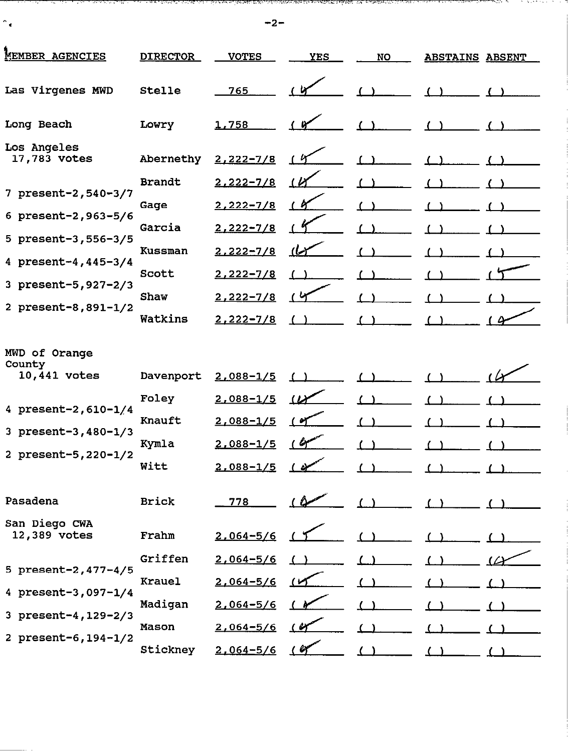$-2-$ 

 $\uparrow_\mathbf{c}$ 

のほかはかまたのかんではながらないからあるのは、このも、そののはかなはないかないから、こんかようなのでしょう。 イース・ディー しょうせいしょう たいせんしょうかい しゅうしゅくてん

. .

| MEMBER AGENCIES                         | <b>DIRECTOR</b> | <b>VOTES</b>  | <b>YES</b>            | <b>NO</b> | <b>ABSTAINS ABSENT</b> |  |
|-----------------------------------------|-----------------|---------------|-----------------------|-----------|------------------------|--|
| Las Virgenes MWD                        | Stelle          | 765           |                       |           |                        |  |
| Long Beach                              | Lowry           | 1,758         |                       |           |                        |  |
| Los Angeles<br>17,783 votes             | Abernethy       | $2,222 - 7/8$ |                       |           |                        |  |
| 7 present-2, 540-3/7                    | <b>Brandt</b>   | $2,222 - 7/8$ | $\iota$               |           |                        |  |
|                                         | Gage            | $2,222 - 7/8$ | (A                    |           |                        |  |
| 6 present-2, 963-5/6                    | Garcia          | $2,222 - 7/8$ |                       |           |                        |  |
| 5 present-3,556-3/5                     | <b>Kussman</b>  | $2,222 - 7/8$ | نیا)                  |           |                        |  |
| 4 present-4, 445-3/4                    | Scott           | $2,222 - 7/8$ |                       |           |                        |  |
| 3 present-5, 927-2/3                    | Shaw            | $2,222 - 7/8$ |                       |           |                        |  |
| 2 present-8,891-1/2                     | Watkins         | $2,222 - 7/8$ |                       |           |                        |  |
| MWD of Orange<br>County<br>10,441 votes | Davenport       | $2,088 - 1/5$ |                       |           |                        |  |
|                                         | Foley           | $2,088 - 1/5$ | $\boldsymbol{\omega}$ |           |                        |  |
| 4 present-2, $610-1/4$                  | Knauft          | $2,088 - 1/5$ | نو                    |           |                        |  |
| 3 present-3, 480-1/3                    | Kymla           | $2,088 - 1/5$ | $\epsilon$            |           |                        |  |
| 2 present-5, 220-1/2                    | Witt            | $2,088 - 1/5$ | $\overline{1}$        |           |                        |  |
| Pasadena                                | Brick           | 778           | ( O                   |           |                        |  |
| San Diego CWA<br>12,389 votes           | Frahm           | $2,064 - 5/6$ |                       |           |                        |  |
|                                         | Griffen         | $2,064 - 5/6$ |                       |           |                        |  |
| 5 $present-2, 477-4/5$                  | <b>Krauel</b>   | $2,064 - 5/6$ |                       |           |                        |  |
| 4 present-3,097-1/4                     | Madigan         | $2,064 - 5/6$ |                       |           |                        |  |
| 3 present-4, 129-2/3                    | Mason           | $2,064 - 5/6$ | ( V                   |           |                        |  |
| 2 present-6, 194-1/2                    | Stickney        | $2,064 - 5/6$ |                       |           |                        |  |